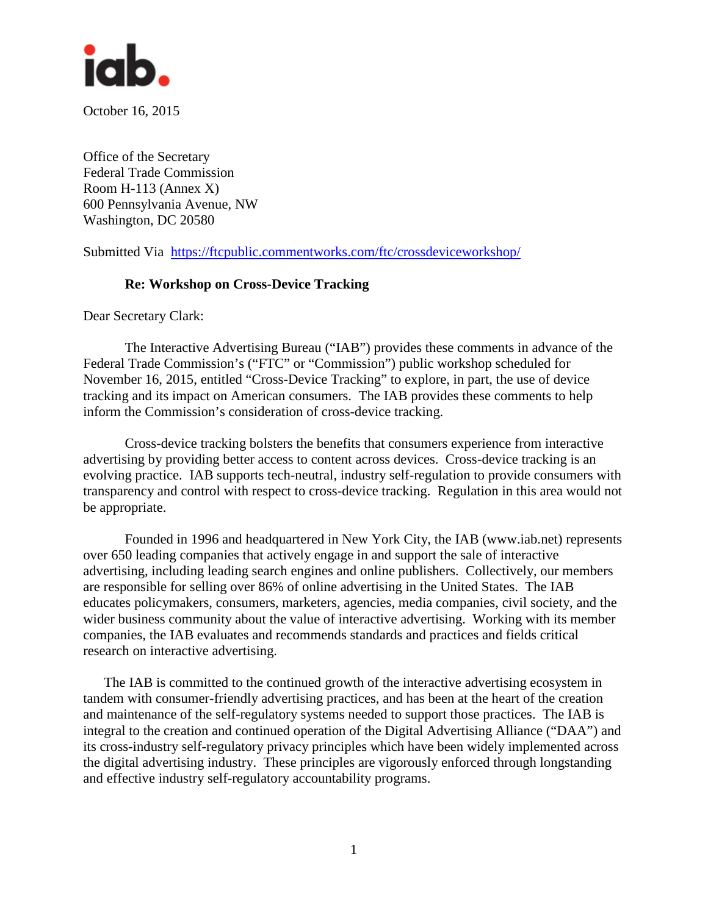

October 16, 2015

Office of the Secretary Federal Trade Commission Room H-113 (Annex X) 600 Pennsylvania Avenue, NW Washington, DC 20580

Submitted Via <https://ftcpublic.commentworks.com/ftc/crossdeviceworkshop/>

#### **Re: Workshop on Cross-Device Tracking**

Dear Secretary Clark:

The Interactive Advertising Bureau ("IAB") provides these comments in advance of the Federal Trade Commission's ("FTC" or "Commission") public workshop scheduled for November 16, 2015, entitled "Cross-Device Tracking" to explore, in part, the use of device tracking and its impact on American consumers. The IAB provides these comments to help inform the Commission's consideration of cross-device tracking.

Cross-device tracking bolsters the benefits that consumers experience from interactive advertising by providing better access to content across devices. Cross-device tracking is an evolving practice. IAB supports tech-neutral, industry self-regulation to provide consumers with transparency and control with respect to cross-device tracking. Regulation in this area would not be appropriate.

Founded in 1996 and headquartered in New York City, the IAB (www.iab.net) represents over 650 leading companies that actively engage in and support the sale of interactive advertising, including leading search engines and online publishers. Collectively, our members are responsible for selling over 86% of online advertising in the United States. The IAB educates policymakers, consumers, marketers, agencies, media companies, civil society, and the wider business community about the value of interactive advertising. Working with its member companies, the IAB evaluates and recommends standards and practices and fields critical research on interactive advertising.

The IAB is committed to the continued growth of the interactive advertising ecosystem in tandem with consumer-friendly advertising practices, and has been at the heart of the creation and maintenance of the self-regulatory systems needed to support those practices. The IAB is integral to the creation and continued operation of the Digital Advertising Alliance ("DAA") and its cross-industry self-regulatory privacy principles which have been widely implemented across the digital advertising industry. These principles are vigorously enforced through longstanding and effective industry self-regulatory accountability programs.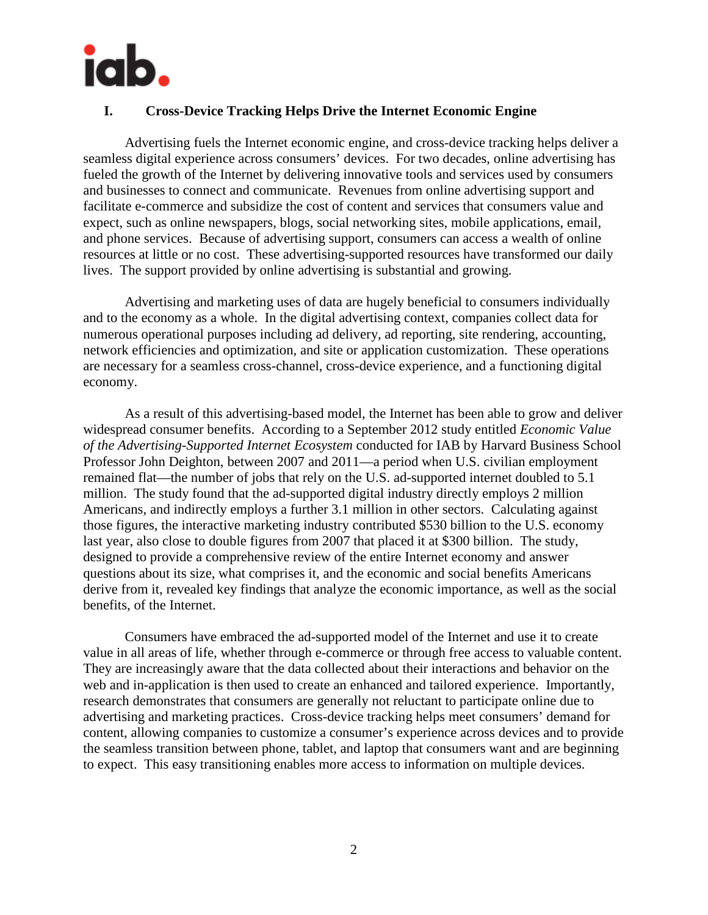

### **I. Cross-Device Tracking Helps Drive the Internet Economic Engine**

Advertising fuels the Internet economic engine, and cross-device tracking helps deliver a seamless digital experience across consumers' devices. For two decades, online advertising has fueled the growth of the Internet by delivering innovative tools and services used by consumers and businesses to connect and communicate. Revenues from online advertising support and facilitate e-commerce and subsidize the cost of content and services that consumers value and expect, such as online newspapers, blogs, social networking sites, mobile applications, email, and phone services. Because of advertising support, consumers can access a wealth of online resources at little or no cost. These advertising-supported resources have transformed our daily lives. The support provided by online advertising is substantial and growing.

Advertising and marketing uses of data are hugely beneficial to consumers individually and to the economy as a whole. In the digital advertising context, companies collect data for numerous operational purposes including ad delivery, ad reporting, site rendering, accounting, network efficiencies and optimization, and site or application customization. These operations are necessary for a seamless cross-channel, cross-device experience, and a functioning digital economy.

As a result of this advertising-based model, the Internet has been able to grow and deliver widespread consumer benefits. According to a September 2012 study entitled *Economic Value of the Advertising-Supported Internet Ecosystem* conducted for IAB by Harvard Business School Professor John Deighton, between 2007 and 2011—a period when U.S. civilian employment remained flat—the number of jobs that rely on the U.S. ad-supported internet doubled to 5.1 million. The study found that the ad-supported digital industry directly employs 2 million Americans, and indirectly employs a further 3.1 million in other sectors. Calculating against those figures, the interactive marketing industry contributed \$530 billion to the U.S. economy last year, also close to double figures from 2007 that placed it at \$300 billion. The study, designed to provide a comprehensive review of the entire Internet economy and answer questions about its size, what comprises it, and the economic and social benefits Americans derive from it, revealed key findings that analyze the economic importance, as well as the social benefits, of the Internet.

Consumers have embraced the ad-supported model of the Internet and use it to create value in all areas of life, whether through e-commerce or through free access to valuable content. They are increasingly aware that the data collected about their interactions and behavior on the web and in-application is then used to create an enhanced and tailored experience. Importantly, research demonstrates that consumers are generally not reluctant to participate online due to advertising and marketing practices. Cross-device tracking helps meet consumers' demand for content, allowing companies to customize a consumer's experience across devices and to provide the seamless transition between phone, tablet, and laptop that consumers want and are beginning to expect. This easy transitioning enables more access to information on multiple devices.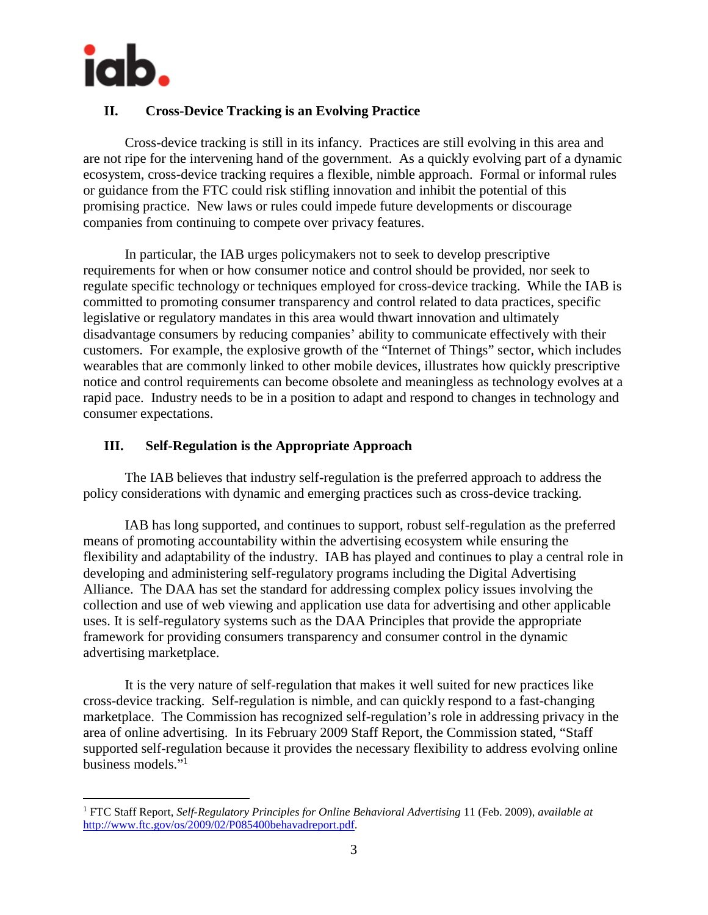

# **II. Cross-Device Tracking is an Evolving Practice**

Cross-device tracking is still in its infancy. Practices are still evolving in this area and are not ripe for the intervening hand of the government. As a quickly evolving part of a dynamic ecosystem, cross-device tracking requires a flexible, nimble approach. Formal or informal rules or guidance from the FTC could risk stifling innovation and inhibit the potential of this promising practice. New laws or rules could impede future developments or discourage companies from continuing to compete over privacy features.

In particular, the IAB urges policymakers not to seek to develop prescriptive requirements for when or how consumer notice and control should be provided, nor seek to regulate specific technology or techniques employed for cross-device tracking. While the IAB is committed to promoting consumer transparency and control related to data practices, specific legislative or regulatory mandates in this area would thwart innovation and ultimately disadvantage consumers by reducing companies' ability to communicate effectively with their customers. For example, the explosive growth of the "Internet of Things" sector, which includes wearables that are commonly linked to other mobile devices, illustrates how quickly prescriptive notice and control requirements can become obsolete and meaningless as technology evolves at a rapid pace. Industry needs to be in a position to adapt and respond to changes in technology and consumer expectations.

## **III. Self-Regulation is the Appropriate Approach**

The IAB believes that industry self-regulation is the preferred approach to address the policy considerations with dynamic and emerging practices such as cross-device tracking.

IAB has long supported, and continues to support, robust self-regulation as the preferred means of promoting accountability within the advertising ecosystem while ensuring the flexibility and adaptability of the industry. IAB has played and continues to play a central role in developing and administering self-regulatory programs including the Digital Advertising Alliance. The DAA has set the standard for addressing complex policy issues involving the collection and use of web viewing and application use data for advertising and other applicable uses. It is self-regulatory systems such as the DAA Principles that provide the appropriate framework for providing consumers transparency and consumer control in the dynamic advertising marketplace.

It is the very nature of self-regulation that makes it well suited for new practices like cross-device tracking. Self-regulation is nimble, and can quickly respond to a fast-changing marketplace. The Commission has recognized self-regulation's role in addressing privacy in the area of online advertising. In its February 2009 Staff Report, the Commission stated, "Staff supported self-regulation because it provides the necessary flexibility to address evolving online business models."<sup>[1](#page-2-0)</sup>

<span id="page-2-0"></span><sup>1</sup> FTC Staff Report, *Self-Regulatory Principles for Online Behavioral Advertising* 11 (Feb. 2009), *available at* http://www.ftc.gov/os/2009/02/P085400behavadreport.pdf.